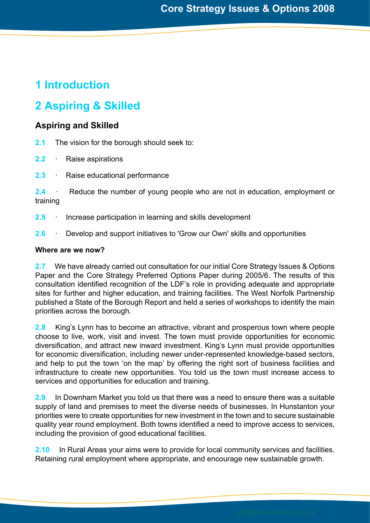# **1 Introduction**

# **2 Aspiring & Skilled**

## **Aspiring and Skilled**

**2.1** The vision for the borough should seek to:

- **2.2** · Raise aspirations
- **2.3** · Raise educational performance

**2.4** · Reduce the number of young people who are not in education, employment or training

- **2.5** · Increase participation in learning and skills development
- **2.6** · Develop and support initiatives to 'Grow our Own' skills and opportunities

## **Where are we now?**

**2.7** We have already carried out consultation for our initial Core Strategy Issues & Options Paper and the Core Strategy Preferred Options Paper during 2005/6. The results of this consultation identified recognition of the LDF's role in providing adequate and appropriate sites for further and higher education, and training facilities. The West Norfolk Partnership published a State of the Borough Report and held a series of workshops to identify the main priorities across the borough.

**2.8** King's Lynn has to become an attractive, vibrant and prosperous town where people choose to live, work, visit and invest. The town must provide opportunities for economic diversification, and attract new inward investment. King's Lynn must provide opportunities for economic diversification, including newer under-represented knowledge-based sectors, and help to put the town 'on the map' by offering the right sort of business facilities and infrastructure to create new opportunities. You told us the town must increase access to services and opportunities for education and training.

**2.9** In Downham Market you told us that there was a need to ensure there was a suitable supply of land and premises to meet the diverse needs of businesses. In Hunstanton your priorities were to create opportunities for new investment in the town and to secure sustainable quality year round employment. Both towns identified a need to improve access to services, including the provision of good educational facilities.

**2.10** In Rural Areas your aims were to provide for local community services and facilities. Retaining rural employment where appropriate, and encourage new sustainable growth.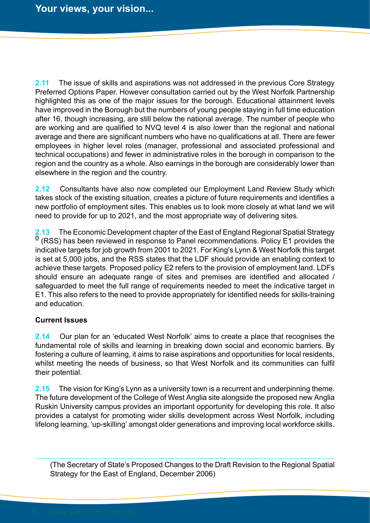**2.11** The issue of skills and aspirations was not addressed in the previous Core Strategy Preferred Options Paper. However consultation carried out by the West Norfolk Partnership highlighted this as one of the major issues for the borough. Educational attainment levels have improved in the Borough but the numbers of young people staying in full time education after 16, though increasing, are still below the national average. The number of people who are working and are qualified to NVQ level 4 is also lower than the regional and national average and there are significant numbers who have no qualifications at all. There are fewer employees in higher level roles (manager, professional and associated professional and technical occupations) and fewer in administrative roles in the borough in comparison to the region and the country as a whole. Also earnings in the borough are considerably lower than elsewhere in the region and the country.

**2.12** Consultants have also now completed our Employment Land Review Study which takes stock of the existing situation, creates a picture of future requirements and identifies a new portfolio of employment sites. This enables us to look more closely at what land we will need to provide for up to 2021, and the most appropriate way of delivering sites.

**2.13** The Economic Development chapter of the East of England Regional Spatial Strategy **()** (RSS) has been reviewed in response to Panel recommendations. Policy E1 provides the indicative targets for job growth from 2001 to 2021. For King's Lynn & West Norfolk this target is set at 5,000 jobs, and the RSS states that the LDF should provide an enabling context to achieve these targets. Proposed policy E2 refers to the provision of employment land. LDFs should ensure an adequate range of sites and premises are identified and allocated / safeguarded to meet the full range of requirements needed to meet the indicative target in E1. This also refers to the need to provide appropriately for identified needs for skills-training and education.

## **Current Issues**

**2.14** Our plan for an 'educated West Norfolk' aims to create a place that recognises the fundamental role of skills and learning in breaking down social and economic barriers. By fostering a culture of learning, it aims to raise aspirations and opportunities for local residents, whilst meeting the needs of business, so that West Norfolk and its communities can fulfil their potential.

**2.15** The vision for King's Lynn as a university town is a recurrent and underpinning theme. The future development of the College of West Anglia site alongside the proposed new Anglia Ruskin University campus provides an important opportunity for developing this role. It also provides a catalyst for promoting wider skills development across West Norfolk, including lifelong learning, 'up-skilling' amongst older generations and improving local workforce skills.

(The Secretary of State's Proposed Changes to the Draft Revision to the Regional Spatial Strategy for the East of England, December 2006)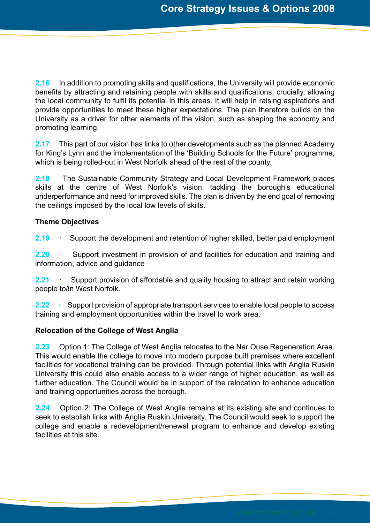**2.16** In addition to promoting skills and qualifications, the University will provide economic benefits by attracting and retaining people with skills and qualifications, crucially, allowing the local community to fulfil its potential in this areas. It will help in raising aspirations and provide opportunities to meet these higher expectations. The plan therefore builds on the University as a driver for other elements of the vision, such as shaping the economy and promoting learning.

**2.17** This part of our vision has links to other developments such as the planned Academy for King's Lynn and the implementation of the 'Building Schools for the Future' programme, which is being rolled-out in West Norfolk ahead of the rest of the county.

**2.18** The Sustainable Community Strategy and Local Development Framework places skills at the centre of West Norfolk's vision, tackling the borough's educational underperformance and need for improved skills. The plan is driven by the end goal of removing the ceilings imposed by the local low levels of skills.

## **Theme Objectives**

**2.19** · Support the development and retention of higher skilled, better paid employment

**2.20** · Support investment in provision of and facilities for education and training and information, advice and guidance

**2.21** · Support provision of affordable and quality housing to attract and retain working people to/in West Norfolk.

**2.22** · Support provision of appropriate transport services to enable local people to access training and employment opportunities within the travel to work area.

## **Relocation of the College of West Anglia**

**2.23** Option 1: The College of West Anglia relocates to the Nar Ouse Regeneration Area. This would enable the college to move into modern purpose built premises where excellent facilities for vocational training can be provided. Through potential links with Anglia Ruskin University this could also enable access to a wider range of higher education, as well as further education. The Council would be in support of the relocation to enhance education and training opportunities across the borough.

**2.24** Option 2: The College of West Anglia remains at its existing site and continues to seek to establish links with Anglia Ruskin University. The Council would seek to support the college and enable a redevelopment/renewal program to enhance and develop existing facilities at this site.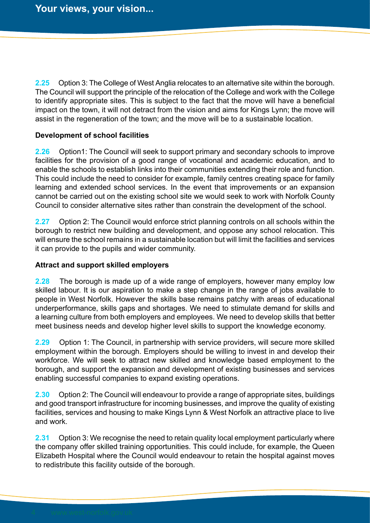**2.25** Option 3: The College of West Anglia relocates to an alternative site within the borough. The Council will support the principle of the relocation of the College and work with the College to identify appropriate sites. This is subject to the fact that the move will have a beneficial impact on the town, it will not detract from the vision and aims for Kings Lynn; the move will assist in the regeneration of the town; and the move will be to a sustainable location.

## **Development of school facilities**

**2.26** Option1: The Council will seek to support primary and secondary schools to improve facilities for the provision of a good range of vocational and academic education, and to enable the schools to establish links into their communities extending their role and function. This could include the need to consider for example, family centres creating space for family learning and extended school services. In the event that improvements or an expansion cannot be carried out on the existing school site we would seek to work with Norfolk County Council to consider alternative sites rather than constrain the development of the school.

**2.27** Option 2: The Council would enforce strict planning controls on all schools within the borough to restrict new building and development, and oppose any school relocation. This will ensure the school remains in a sustainable location but will limit the facilities and services it can provide to the pupils and wider community.

#### **Attract and support skilled employers**

**2.28** The borough is made up of a wide range of employers, however many employ low skilled labour. It is our aspiration to make a step change in the range of jobs available to people in West Norfolk. However the skills base remains patchy with areas of educational underperformance, skills gaps and shortages. We need to stimulate demand for skills and a learning culture from both employers and employees. We need to develop skills that better meet business needs and develop higher level skills to support the knowledge economy.

**2.29** Option 1: The Council, in partnership with service providers, will secure more skilled employment within the borough. Employers should be willing to invest in and develop their workforce. We will seek to attract new skilled and knowledge based employment to the borough, and support the expansion and development of existing businesses and services enabling successful companies to expand existing operations.

**2.30** Option 2: The Council will endeavour to provide a range of appropriate sites, buildings and good transport infrastructure for incoming businesses, and improve the quality of existing facilities, services and housing to make Kings Lynn & West Norfolk an attractive place to live and work.

**2.31** Option 3: We recognise the need to retain quality local employment particularly where the company offer skilled training opportunities. This could include, for example, the Queen Elizabeth Hospital where the Council would endeavour to retain the hospital against moves to redistribute this facility outside of the borough.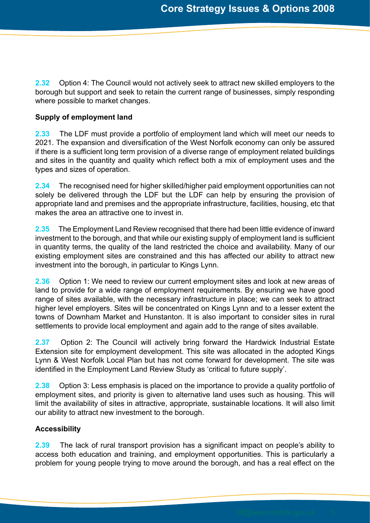**2.32** Option 4: The Council would not actively seek to attract new skilled employers to the borough but support and seek to retain the current range of businesses, simply responding where possible to market changes.

## **Supply of employment land**

**2.33** The LDF must provide a portfolio of employment land which will meet our needs to 2021. The expansion and diversification of the West Norfolk economy can only be assured if there is a sufficient long term provision of a diverse range of employment related buildings and sites in the quantity and quality which reflect both a mix of employment uses and the types and sizes of operation.

**2.34** The recognised need for higher skilled/higher paid employment opportunities can not solely be delivered through the LDF but the LDF can help by ensuring the provision of appropriate land and premises and the appropriate infrastructure, facilities, housing, etc that makes the area an attractive one to invest in.

**2.35** The Employment Land Review recognised that there had been little evidence of inward investment to the borough, and that while our existing supply of employment land is sufficient in quantity terms, the quality of the land restricted the choice and availability. Many of our existing employment sites are constrained and this has affected our ability to attract new investment into the borough, in particular to Kings Lynn.

**2.36** Option 1: We need to review our current employment sites and look at new areas of land to provide for a wide range of employment requirements. By ensuring we have good range of sites available, with the necessary infrastructure in place; we can seek to attract higher level employers. Sites will be concentrated on Kings Lynn and to a lesser extent the towns of Downham Market and Hunstanton. It is also important to consider sites in rural settlements to provide local employment and again add to the range of sites available.

**2.37** Option 2: The Council will actively bring forward the Hardwick Industrial Estate Extension site for employment development. This site was allocated in the adopted Kings Lynn & West Norfolk Local Plan but has not come forward for development. The site was identified in the Employment Land Review Study as 'critical to future supply'.

**2.38** Option 3: Less emphasis is placed on the importance to provide a quality portfolio of employment sites, and priority is given to alternative land uses such as housing. This will limit the availability of sites in attractive, appropriate, sustainable locations. It will also limit our ability to attract new investment to the borough.

## **Accessibility**

**2.39** The lack of rural transport provision has a significant impact on people's ability to access both education and training, and employment opportunities. This is particularly a problem for young people trying to move around the borough, and has a real effect on the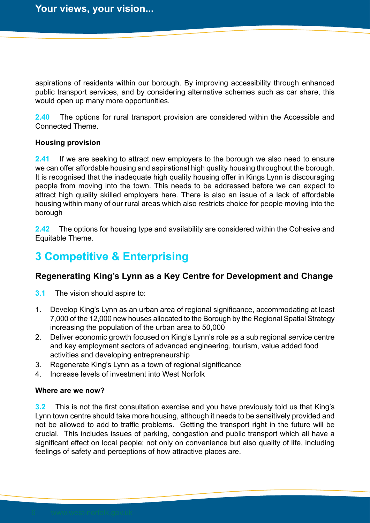aspirations of residents within our borough. By improving accessibility through enhanced public transport services, and by considering alternative schemes such as car share, this would open up many more opportunities.

**2.40** The options for rural transport provision are considered within the Accessible and Connected Theme.

#### **Housing provision**

**2.41** If we are seeking to attract new employers to the borough we also need to ensure we can offer affordable housing and aspirational high quality housing throughout the borough. It is recognised that the inadequate high quality housing offer in Kings Lynn is discouraging people from moving into the town. This needs to be addressed before we can expect to attract high quality skilled employers here. There is also an issue of a lack of affordable housing within many of our rural areas which also restricts choice for people moving into the borough

**2.42** The options for housing type and availability are considered within the Cohesive and Equitable Theme.

# **3 Competitive & Enterprising**

## **Regenerating King's Lynn as a Key Centre for Development and Change**

**3.1** The vision should aspire to:

- 1. Develop King's Lynn as an urban area of regional significance, accommodating at least 7,000 of the 12,000 new houses allocated to the Borough by the Regional Spatial Strategy increasing the population of the urban area to 50,000
- 2. Deliver economic growth focused on King's Lynn's role as a sub regional service centre and key employment sectors of advanced engineering, tourism, value added food activities and developing entrepreneurship
- 3. Regenerate King's Lynn as a town of regional significance
- 4. Increase levels of investment into West Norfolk

## **Where are we now?**

**3.2** This is not the first consultation exercise and you have previously told us that King's Lynn town centre should take more housing, although it needs to be sensitively provided and not be allowed to add to traffic problems. Getting the transport right in the future will be crucial. This includes issues of parking, congestion and public transport which all have a significant effect on local people; not only on convenience but also quality of life, including feelings of safety and perceptions of how attractive places are.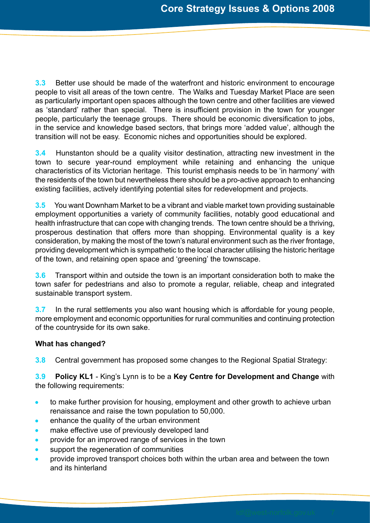**3.3** Better use should be made of the waterfront and historic environment to encourage people to visit all areas of the town centre. The Walks and Tuesday Market Place are seen as particularly important open spaces although the town centre and other facilities are viewed as 'standard' rather than special. There is insufficient provision in the town for younger people, particularly the teenage groups. There should be economic diversification to jobs, in the service and knowledge based sectors, that brings more 'added value', although the transition will not be easy. Economic niches and opportunities should be explored.

**3.4** Hunstanton should be a quality visitor destination, attracting new investment in the town to secure year-round employment while retaining and enhancing the unique characteristics of its Victorian heritage. This tourist emphasis needs to be 'in harmony' with the residents of the town but nevertheless there should be a pro-active approach to enhancing existing facilities, actively identifying potential sites for redevelopment and projects.

**3.5** You want Downham Market to be a vibrant and viable market town providing sustainable employment opportunities a variety of community facilities, notably good educational and health infrastructure that can cope with changing trends. The town centre should be a thriving, prosperous destination that offers more than shopping. Environmental quality is a key consideration, by making the most of the town's natural environment such as the river frontage, providing development which is sympathetic to the local character utilising the historic heritage of the town, and retaining open space and 'greening' the townscape.

**3.6** Transport within and outside the town is an important consideration both to make the town safer for pedestrians and also to promote a regular, reliable, cheap and integrated sustainable transport system.

**3.7** In the rural settlements you also want housing which is affordable for young people, more employment and economic opportunities for rural communities and continuing protection of the countryside for its own sake.

## **What has changed?**

**3.8** Central government has proposed some changes to the Regional Spatial Strategy:

**3.9 Policy KL1** - King's Lynn is to be a **Key Centre for Development and Change** with the following requirements:

- to make further provision for housing, employment and other growth to achieve urban  $\bullet$ renaissance and raise the town population to 50,000.
- enhance the quality of the urban environment
- make effective use of previously developed land  $\bullet$
- provide for an improved range of services in the town
- support the regeneration of communities
- provide improved transport choices both within the urban area and between the town and its hinterland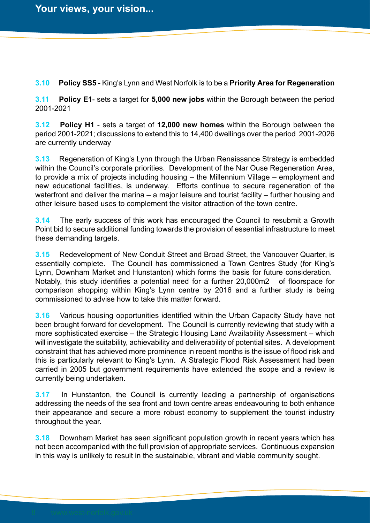**3.10 Policy SS5** - King's Lynn and West Norfolk is to be a **Priority Area for Regeneration**

**3.11 Policy E1**- sets a target for **5,000 new jobs** within the Borough between the period 2001-2021

**3.12 Policy H1** - sets a target of **12,000 new homes** within the Borough between the period 2001-2021; discussions to extend this to 14,400 dwellings over the period 2001-2026 are currently underway

**3.13** Regeneration of King's Lynn through the Urban Renaissance Strategy is embedded within the Council's corporate priorities. Development of the Nar Ouse Regeneration Area, to provide a mix of projects including housing – the Millennium Village – employment and new educational facilities, is underway. Efforts continue to secure regeneration of the waterfront and deliver the marina – a major leisure and tourist facility – further housing and other leisure based uses to complement the visitor attraction of the town centre.

**3.14** The early success of this work has encouraged the Council to resubmit a Growth Point bid to secure additional funding towards the provision of essential infrastructure to meet these demanding targets.

**3.15** Redevelopment of New Conduit Street and Broad Street, the Vancouver Quarter, is essentially complete. The Council has commissioned a Town Centres Study (for King's Lynn, Downham Market and Hunstanton) which forms the basis for future consideration. Notably, this study identifies a potential need for a further 20,000m2 of floorspace for comparison shopping within King's Lynn centre by 2016 and a further study is being commissioned to advise how to take this matter forward.

**3.16** Various housing opportunities identified within the Urban Capacity Study have not been brought forward for development. The Council is currently reviewing that study with a more sophisticated exercise – the Strategic Housing Land Availability Assessment – which will investigate the suitability, achievability and deliverability of potential sites. A development constraint that has achieved more prominence in recent months is the issue of flood risk and this is particularly relevant to King's Lynn. A Strategic Flood Risk Assessment had been carried in 2005 but government requirements have extended the scope and a review is currently being undertaken.

**3.17** In Hunstanton, the Council is currently leading a partnership of organisations addressing the needs of the sea front and town centre areas endeavouring to both enhance their appearance and secure a more robust economy to supplement the tourist industry throughout the year.

**3.18** Downham Market has seen significant population growth in recent years which has not been accompanied with the full provision of appropriate services. Continuous expansion in this way is unlikely to result in the sustainable, vibrant and viable community sought.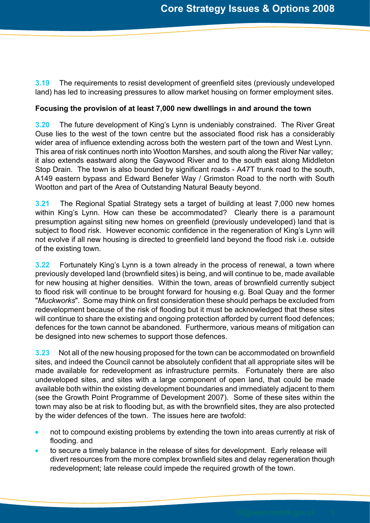**3.19** The requirements to resist development of greenfield sites (previously undeveloped land) has led to increasing pressures to allow market housing on former employment sites.

## **Focusing the provision of at least 7,000 new dwellings in and around the town**

**3.20** The future development of King's Lynn is undeniably constrained. The River Great Ouse lies to the west of the town centre but the associated flood risk has a considerably wider area of influence extending across both the western part of the town and West Lynn. This area of risk continues north into Wootton Marshes, and south along the River Nar valley; it also extends eastward along the Gaywood River and to the south east along Middleton Stop Drain. The town is also bounded by significant roads - A47T trunk road to the south, A149 eastern bypass and Edward Benefer Way / Grimston Road to the north with South Wootton and part of the Area of Outstanding Natural Beauty beyond.

**3.21** The Regional Spatial Strategy sets a target of building at least 7,000 new homes within King's Lynn. How can these be accommodated? Clearly there is a paramount presumption against siting new homes on greenfield (previously undeveloped) land that is subject to flood risk. However economic confidence in the regeneration of King's Lynn will not evolve if all new housing is directed to greenfield land beyond the flood risk i.e. outside of the existing town.

**3.22** Fortunately King's Lynn is a town already in the process of renewal, a town where previously developed land (brownfield sites) is being, and will continue to be, made available for new housing at higher densities. Within the town, areas of brownfield currently subject to flood risk will continue to be brought forward for housing e.g. Boal Quay and the former "*Muckworks*". Some may think on first consideration these should perhaps be excluded from redevelopment because of the risk of flooding but it must be acknowledged that these sites will continue to share the existing and ongoing protection afforded by current flood defences; defences for the town cannot be abandoned. Furthermore, various means of mitigation can be designed into new schemes to support those defences.

**3.23** Not all of the new housing proposed for the town can be accommodated on brownfield sites, and indeed the Council cannot be absolutely confident that all appropriate sites will be made available for redevelopment as infrastructure permits. Fortunately there are also undeveloped sites, and sites with a large component of open land, that could be made available both within the existing development boundaries and immediately adjacent to them (see the Growth Point Programme of Development 2007). Some of these sites within the town may also be at risk to flooding but, as with the brownfield sites, they are also protected by the wider defences of the town. The issues here are twofold:

- not to compound existing problems by extending the town into areas currently at risk of flooding. and
- to secure a timely balance in the release of sites for development. Early release will divert resources from the more complex brownfield sites and delay regeneration though redevelopment; late release could impede the required growth of the town.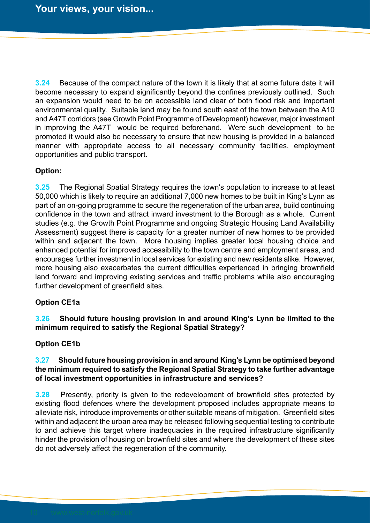**3.24** Because of the compact nature of the town it is likely that at some future date it will become necessary to expand significantly beyond the confines previously outlined. Such an expansion would need to be on accessible land clear of both flood risk and important environmental quality. Suitable land may be found south east of the town between the A10 and A47T corridors (see Growth Point Programme of Development) however, major investment in improving the A47T would be required beforehand. Were such development to be promoted it would also be necessary to ensure that new housing is provided in a balanced manner with appropriate access to all necessary community facilities, employment opportunities and public transport.

## **Option:**

**3.25** The Regional Spatial Strategy requires the town's population to increase to at least 50,000 which is likely to require an additional 7,000 new homes to be built in King's Lynn as part of an on-going programme to secure the regeneration of the urban area, build continuing confidence in the town and attract inward investment to the Borough as a whole. Current studies (e.g. the Growth Point Programme and ongoing Strategic Housing Land Availability Assessment) suggest there is capacity for a greater number of new homes to be provided within and adjacent the town. More housing implies greater local housing choice and enhanced potential for improved accessibility to the town centre and employment areas, and encourages further investment in local services for existing and new residents alike. However, more housing also exacerbates the current difficulties experienced in bringing brownfield land forward and improving existing services and traffic problems while also encouraging further development of greenfield sites.

## **Option CE1a**

## **3.26 Should future housing provision in and around King's Lynn be limited to the minimum required to satisfy the Regional Spatial Strategy?**

#### **Option CE1b**

## **3.27 Should future housing provision in and around King's Lynn be optimised beyond the minimum required to satisfy the Regional Spatial Strategy to take further advantage of local investment opportunities in infrastructure and services?**

**3.28** Presently, priority is given to the redevelopment of brownfield sites protected by existing flood defences where the development proposed includes appropriate means to alleviate risk, introduce improvements or other suitable means of mitigation. Greenfield sites within and adjacent the urban area may be released following sequential testing to contribute to and achieve this target where inadequacies in the required infrastructure significantly hinder the provision of housing on brownfield sites and where the development of these sites do not adversely affect the regeneration of the community.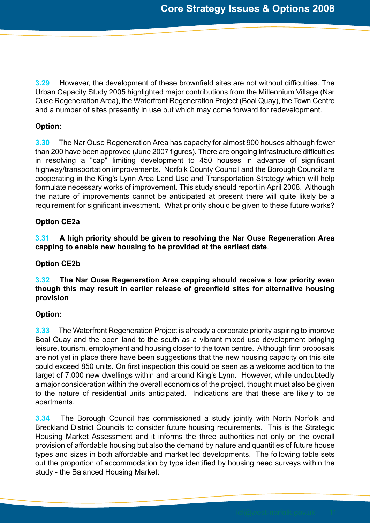**3.29** However, the development of these brownfield sites are not without difficulties. The Urban Capacity Study 2005 highlighted major contributions from the Millennium Village (Nar Ouse Regeneration Area), the Waterfront Regeneration Project (Boal Quay), the Town Centre and a number of sites presently in use but which may come forward for redevelopment.

## **Option:**

**3.30** The Nar Ouse Regeneration Area has capacity for almost 900 houses although fewer than 200 have been approved (June 2007 figures). There are ongoing infrastructure difficulties in resolving a "cap" limiting development to 450 houses in advance of significant highway/transportation improvements. Norfolk County Council and the Borough Council are cooperating in the King's Lynn Area Land Use and Transportation Strategy which will help formulate necessary works of improvement. This study should report in April 2008. Although the nature of improvements cannot be anticipated at present there will quite likely be a requirement for significant investment. What priority should be given to these future works?

## **Option CE2a**

**3.31 A high priority should be given to resolving the Nar Ouse Regeneration Area capping to enable new housing to be provided at the earliest date**.

## **Option CE2b**

## **3.32 The Nar Ouse Regeneration Area capping should receive a low priority even though this may result in earlier release of greenfield sites for alternative housing provision**

## **Option:**

**3.33** The Waterfront Regeneration Project is already a corporate priority aspiring to improve Boal Quay and the open land to the south as a vibrant mixed use development bringing leisure, tourism, employment and housing closer to the town centre. Although firm proposals are not yet in place there have been suggestions that the new housing capacity on this site could exceed 850 units. On first inspection this could be seen as a welcome addition to the target of 7,000 new dwellings within and around King's Lynn. However, while undoubtedly a major consideration within the overall economics of the project, thought must also be given to the nature of residential units anticipated. Indications are that these are likely to be apartments.

**3.34** The Borough Council has commissioned a study jointly with North Norfolk and Breckland District Councils to consider future housing requirements. This is the Strategic Housing Market Assessment and it informs the three authorities not only on the overall provision of affordable housing but also the demand by nature and quantities of future house types and sizes in both affordable and market led developments. The following table sets out the proportion of accommodation by type identified by housing need surveys within the study - the Balanced Housing Market: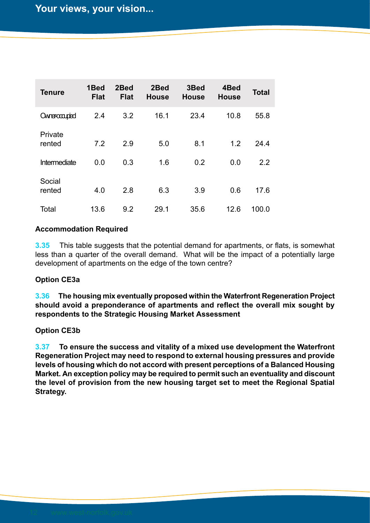| <b>Tenure</b>     | 1Bed<br><b>Flat</b> | 2Bed<br><b>Flat</b> | 2Bed<br><b>House</b> | 3Bed<br><b>House</b> | 4Bed<br><b>House</b> | Total |
|-------------------|---------------------|---------------------|----------------------|----------------------|----------------------|-------|
| Ownercompied      | 2.4                 | 3.2                 | 16.1                 | 23.4                 | 10.8                 | 55.8  |
| Private<br>rented | 7.2                 | 2.9                 | 5.0                  | 8.1                  | 1.2                  | 24.4  |
| Intermediate      | 0.0                 | 0.3                 | 1.6                  | 0.2                  | 0.0                  | 2.2   |
| Social<br>rented  | 4.0                 | 2.8                 | 6.3                  | 3.9                  | 0.6                  | 17.6  |
| Total             | 13.6                | 9.2                 | 29.1                 | 35.6                 | 12.6                 | 100.0 |

## **Accommodation Required**

**3.35** This table suggests that the potential demand for apartments, or flats, is somewhat less than a quarter of the overall demand. What will be the impact of a potentially large development of apartments on the edge of the town centre?

## **Option CE3a**

**3.36 The housing mix eventually proposed within the Waterfront Regeneration Project should avoid a preponderance of apartments and reflect the overall mix sought by respondents to the Strategic Housing Market Assessment**

## **Option CE3b**

**3.37 To ensure the success and vitality of a mixed use development the Waterfront Regeneration Project may need to respond to external housing pressures and provide levels of housing which do not accord with present perceptions of a Balanced Housing Market. An exception policy may be required to permit such an eventuality and discount the level of provision from the new housing target set to meet the Regional Spatial Strategy.**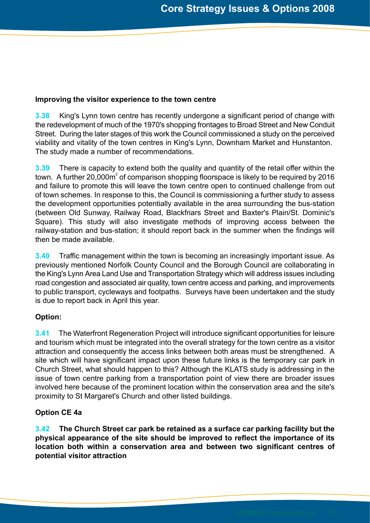## **Improving the visitor experience to the town centre**

**3.38** King's Lynn town centre has recently undergone a significant period of change with the redevelopment of much of the 1970's shopping frontages to Broad Street and New Conduit Street. During the later stages of this work the Council commissioned a study on the perceived viability and vitality of the town centres in King's Lynn, Downham Market and Hunstanton. The study made a number of recommendations.

**3.39** There is capacity to extend both the quality and quantity of the retail offer within the town. A further 20,000m $^{\circ}$  of comparison shopping floorspace is likely to be required by 2016 and failure to promote this will leave the town centre open to continued challenge from out of town schemes. In response to this, the Council is commissioning a further study to assess the development opportunities potentially available in the area surrounding the bus-station (between Old Sunway, Railway Road, Blackfriars Street and Baxter's Plain/St. Dominic's Square). This study will also investigate methods of improving access between the railway-station and bus-station; it should report back in the summer when the findings will then be made available.

**3.40** Traffic management within the town is becoming an increasingly important issue. As previously mentioned Norfolk County Council and the Borough Council are collaborating in the King's Lynn Area Land Use and Transportation Strategy which will address issues including road congestion and associated air quality, town centre access and parking, and improvements to public transport, cycleways and footpaths. Surveys have been undertaken and the study is due to report back in April this year.

## **Option:**

**3.41** The Waterfront Regeneration Project will introduce significant opportunities for leisure and tourism which must be integrated into the overall strategy for the town centre as a visitor attraction and consequently the access links between both areas must be strengthened. A site which will have significant impact upon these future links is the temporary car park in Church Street, what should happen to this? Although the KLATS study is addressing in the issue of town centre parking from a transportation point of view there are broader issues involved here because of the prominent location within the conservation area and the site's proximity to St Margaret's Church and other listed buildings.

## **Option CE 4a**

**3.42 The Church Street car park be retained as a surface car parking facility but the physical appearance of the site should be improved to reflect the importance of its location both within a conservation area and between two significant centres of potential visitor attraction**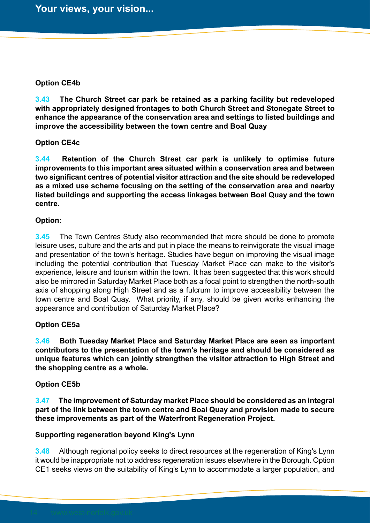### **Option CE4b**

**3.43 The Church Street car park be retained as a parking facility but redeveloped with appropriately designed frontages to both Church Street and Stonegate Street to enhance the appearance of the conservation area and settings to listed buildings and improve the accessibility between the town centre and Boal Quay**

#### **Option CE4c**

**3.44 Retention of the Church Street car park is unlikely to optimise future improvements to this important area situated within a conservation area and between two significant centres of potential visitor attraction and the site should be redeveloped as a mixed use scheme focusing on the setting of the conservation area and nearby listed buildings and supporting the access linkages between Boal Quay and the town centre.**

#### **Option:**

**3.45** The Town Centres Study also recommended that more should be done to promote leisure uses, culture and the arts and put in place the means to reinvigorate the visual image and presentation of the town's heritage. Studies have begun on improving the visual image including the potential contribution that Tuesday Market Place can make to the visitor's experience, leisure and tourism within the town. It has been suggested that this work should also be mirrored in Saturday Market Place both as a focal point to strengthen the north-south axis of shopping along High Street and as a fulcrum to improve accessibility between the town centre and Boal Quay. What priority, if any, should be given works enhancing the appearance and contribution of Saturday Market Place?

## **Option CE5a**

**3.46 Both Tuesday Market Place and Saturday Market Place are seen as important contributors to the presentation of the town's heritage and should be considered as unique features which can jointly strengthen the visitor attraction to High Street and the shopping centre as a whole.**

## **Option CE5b**

**3.47 The improvement of Saturday market Place should be considered as an integral part of the link between the town centre and Boal Quay and provision made to secure these improvements as part of the Waterfront Regeneration Project.**

## **Supporting regeneration beyond King's Lynn**

**3.48** Although regional policy seeks to direct resources at the regeneration of King's Lynn it would be inappropriate not to address regeneration issues elsewhere in the Borough. Option CE1 seeks views on the suitability of King's Lynn to accommodate a larger population, and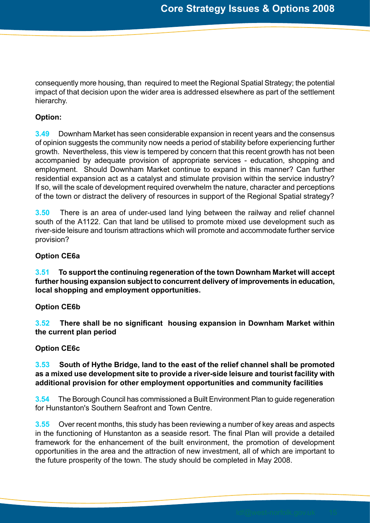consequently more housing, than required to meet the Regional Spatial Strategy; the potential impact of that decision upon the wider area is addressed elsewhere as part of the settlement hierarchy.

## **Option:**

**3.49** Downham Market has seen considerable expansion in recent years and the consensus of opinion suggests the community now needs a period of stability before experiencing further growth. Nevertheless, this view is tempered by concern that this recent growth has not been accompanied by adequate provision of appropriate services - education, shopping and employment. Should Downham Market continue to expand in this manner? Can further residential expansion act as a catalyst and stimulate provision within the service industry? If so, will the scale of development required overwhelm the nature, character and perceptions of the town or distract the delivery of resources in support of the Regional Spatial strategy?

**3.50** There is an area of under-used land lying between the railway and relief channel south of the A1122. Can that land be utilised to promote mixed use development such as river-side leisure and tourism attractions which will promote and accommodate further service provision?

## **Option CE6a**

**3.51 To support the continuing regeneration of the town Downham Market will accept further housing expansion subject to concurrent delivery of improvements in education, local shopping and employment opportunities.**

## **Option CE6b**

**3.52 There shall be no significant housing expansion in Downham Market within the current plan period**

## **Option CE6c**

## **3.53 South of Hythe Bridge, land to the east of the relief channel shall be promoted as a mixed use development site to provide a river-side leisure and tourist facility with additional provision for other employment opportunities and community facilities**

**3.54** The Borough Council has commissioned a Built Environment Plan to guide regeneration for Hunstanton's Southern Seafront and Town Centre.

**3.55** Over recent months, this study has been reviewing a number of key areas and aspects in the functioning of Hunstanton as a seaside resort. The final Plan will provide a detailed framework for the enhancement of the built environment, the promotion of development opportunities in the area and the attraction of new investment, all of which are important to the future prosperity of the town. The study should be completed in May 2008.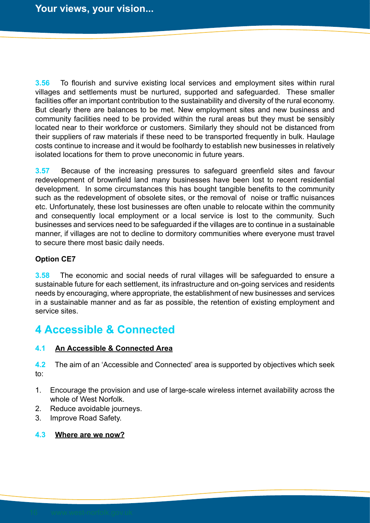**3.56** To flourish and survive existing local services and employment sites within rural villages and settlements must be nurtured, supported and safeguarded. These smaller facilities offer an important contribution to the sustainability and diversity of the rural economy. But clearly there are balances to be met. New employment sites and new business and community facilities need to be provided within the rural areas but they must be sensibly located near to their workforce or customers. Similarly they should not be distanced from their suppliers of raw materials if these need to be transported frequently in bulk. Haulage costs continue to increase and it would be foolhardy to establish new businesses in relatively isolated locations for them to prove uneconomic in future years.

**3.57** Because of the increasing pressures to safeguard greenfield sites and favour redevelopment of brownfield land many businesses have been lost to recent residential development. In some circumstances this has bought tangible benefits to the community such as the redevelopment of obsolete sites, or the removal of noise or traffic nuisances etc. Unfortunately, these lost businesses are often unable to relocate within the community and consequently local employment or a local service is lost to the community. Such businesses and services need to be safeguarded if the villages are to continue in a sustainable manner, if villages are not to decline to dormitory communities where everyone must travel to secure there most basic daily needs.

## **Option CE7**

**3.58** The economic and social needs of rural villages will be safeguarded to ensure a sustainable future for each settlement, its infrastructure and on-going services and residents needs by encouraging, where appropriate, the establishment of new businesses and services in a sustainable manner and as far as possible, the retention of existing employment and service sites.

## **4 Accessible & Connected**

## **4.1 An Accessible & Connected Area**

**4.2** The aim of an 'Accessible and Connected' area is supported by objectives which seek to:

- 1. Encourage the provision and use of large-scale wireless internet availability across the whole of West Norfolk.
- 2. Reduce avoidable journeys.
- 3. Improve Road Safety.

## **4.3 Where are we now?**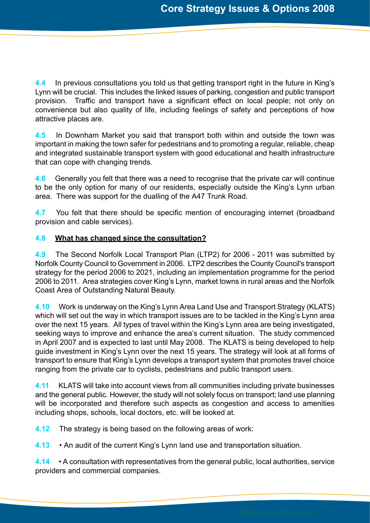**4.4** In previous consultations you told us that getting transport right in the future in King's Lynn will be crucial. This includes the linked issues of parking, congestion and public transport provision. Traffic and transport have a significant effect on local people; not only on convenience but also quality of life, including feelings of safety and perceptions of how attractive places are.

**4.5** In Downham Market you said that transport both within and outside the town was important in making the town safer for pedestrians and to promoting a regular, reliable, cheap and integrated sustainable transport system with good educational and health infrastructure that can cope with changing trends.

**4.6** Generally you felt that there was a need to recognise that the private car will continue to be the only option for many of our residents, especially outside the King's Lynn urban area. There was support for the dualling of the A47 Trunk Road.

**4.7** You felt that there should be specific mention of encouraging internet (broadband provision and cable services).

## **4.8 What has changed since the consultation?**

**4.9** The Second Norfolk Local Transport Plan (LTP2) for 2006 - 2011 was submitted by Norfolk County Council to Government in 2006. LTP2 describes the County Council's transport strategy for the period 2006 to 2021, including an implementation programme for the period 2006 to 2011. Area strategies cover King's Lynn, market towns in rural areas and the Norfolk Coast Area of Outstanding Natural Beauty.

**4.10** Work is underway on the King's Lynn Area Land Use and Transport Strategy (KLATS) which will set out the way in which transport issues are to be tackled in the King's Lynn area over the next 15 years. All types of travel within the King's Lynn area are being investigated, seeking ways to improve and enhance the area's current situation. The study commenced in April 2007 and is expected to last until May 2008. The KLATS is being developed to help guide investment in King's Lynn over the next 15 years. The strategy will look at all forms of transport to ensure that King's Lynn develops a transport system that promotes travel choice ranging from the private car to cyclists, pedestrians and public transport users.

**4.11** KLATS will take into account views from all communities including private businesses and the general public. However, the study will not solely focus on transport; land use planning will be incorporated and therefore such aspects as congestion and access to amenities including shops, schools, local doctors, etc. will be looked at.

**4.12** The strategy is being based on the following areas of work:

**4.13** • An audit of the current King's Lynn land use and transportation situation.

**4.14** • A consultation with representatives from the general public, local authorities, service providers and commercial companies.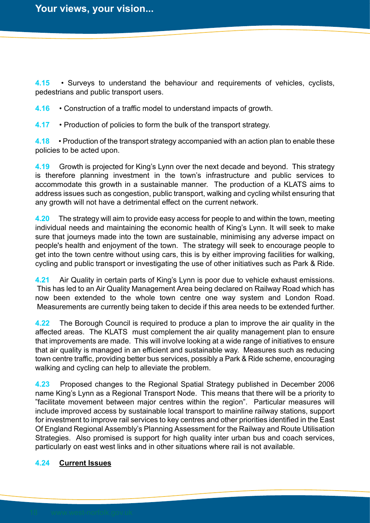**4.15** • Surveys to understand the behaviour and requirements of vehicles, cyclists, pedestrians and public transport users.

**4.16** • Construction of a traffic model to understand impacts of growth.

**4.17** • Production of policies to form the bulk of the transport strategy.

**4.18** • Production of the transport strategy accompanied with an action plan to enable these policies to be acted upon.

**4.19** Growth is projected for King's Lynn over the next decade and beyond. This strategy is therefore planning investment in the town's infrastructure and public services to accommodate this growth in a sustainable manner. The production of a KLATS aims to address issues such as congestion, public transport, walking and cycling whilst ensuring that any growth will not have a detrimental effect on the current network.

**4.20** The strategy will aim to provide easy access for people to and within the town, meeting individual needs and maintaining the economic health of King's Lynn. It will seek to make sure that journeys made into the town are sustainable, minimising any adverse impact on people's health and enjoyment of the town. The strategy will seek to encourage people to get into the town centre without using cars, this is by either improving facilities for walking, cycling and public transport or investigating the use of other initiatives such as Park & Ride.

**4.21** Air Quality in certain parts of King's Lynn is poor due to vehicle exhaust emissions. This has led to an Air Quality Management Area being declared on Railway Road which has now been extended to the whole town centre one way system and London Road. Measurements are currently being taken to decide if this area needs to be extended further.

**4.22** The Borough Council is required to produce a plan to improve the air quality in the affected areas. The KLATS must complement the air quality management plan to ensure that improvements are made. This will involve looking at a wide range of initiatives to ensure that air quality is managed in an efficient and sustainable way. Measures such as reducing town centre traffic, providing better bus services, possibly a Park & Ride scheme, encouraging walking and cycling can help to alleviate the problem.

**4.23** Proposed changes to the Regional Spatial Strategy published in December 2006 name King's Lynn as a Regional Transport Node. This means that there will be a priority to "facilitate movement between major centres within the region". Particular measures will include improved access by sustainable local transport to mainline railway stations, support for investment to improve rail services to key centres and other priorities identified in the East Of England Regional Assembly's Planning Assessment for the Railway and Route Utilisation Strategies. Also promised is support for high quality inter urban bus and coach services, particularly on east west links and in other situations where rail is not available.

## **4.24 Current Issues**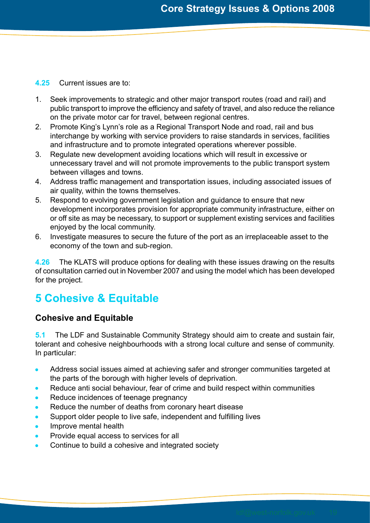#### **4.25** Current issues are to:

- 1. Seek improvements to strategic and other major transport routes (road and rail) and public transport to improve the efficiency and safety of travel, and also reduce the reliance on the private motor car for travel, between regional centres.
- 2. Promote King's Lynn's role as a Regional Transport Node and road, rail and bus interchange by working with service providers to raise standards in services, facilities and infrastructure and to promote integrated operations wherever possible.
- 3. Regulate new development avoiding locations which will result in excessive or unnecessary travel and will not promote improvements to the public transport system between villages and towns.
- 4. Address traffic management and transportation issues, including associated issues of air quality, within the towns themselves.
- 5. Respond to evolving government legislation and guidance to ensure that new development incorporates provision for appropriate community infrastructure, either on or off site as may be necessary, to support or supplement existing services and facilities enjoyed by the local community.
- 6. Investigate measures to secure the future of the port as an irreplaceable asset to the economy of the town and sub-region.

**4.26** The KLATS will produce options for dealing with these issues drawing on the results of consultation carried out in November 2007 and using the model which has been developed for the project.

# **5 Cohesive & Equitable**

## **Cohesive and Equitable**

**5.1** The LDF and Sustainable Community Strategy should aim to create and sustain fair, tolerant and cohesive neighbourhoods with a strong local culture and sense of community. In particular:

- Address social issues aimed at achieving safer and stronger communities targeted at  $\bullet$ the parts of the borough with higher levels of deprivation.
- Reduce anti social behaviour, fear of crime and build respect within communities
- Reduce incidences of teenage pregnancy
- Reduce the number of deaths from coronary heart disease
- Support older people to live safe, independent and fulfilling lives
- Improve mental health
- Provide equal access to services for all
- Continue to build a cohesive and integrated society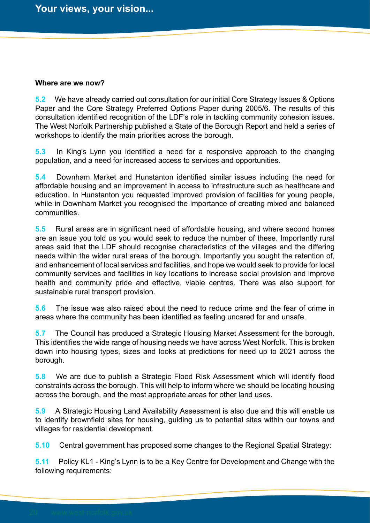#### **Where are we now?**

**5.2** We have already carried out consultation for our initial Core Strategy Issues & Options Paper and the Core Strategy Preferred Options Paper during 2005/6. The results of this consultation identified recognition of the LDF's role in tackling community cohesion issues. The West Norfolk Partnership published a State of the Borough Report and held a series of workshops to identify the main priorities across the borough.

**5.3** In King's Lynn you identified a need for a responsive approach to the changing population, and a need for increased access to services and opportunities.

**5.4** Downham Market and Hunstanton identified similar issues including the need for affordable housing and an improvement in access to infrastructure such as healthcare and education. In Hunstanton you requested improved provision of facilities for young people, while in Downham Market you recognised the importance of creating mixed and balanced communities.

**5.5** Rural areas are in significant need of affordable housing, and where second homes are an issue you told us you would seek to reduce the number of these. Importantly rural areas said that the LDF should recognise characteristics of the villages and the differing needs within the wider rural areas of the borough. Importantly you sought the retention of, and enhancement of local services and facilities, and hope we would seek to provide for local community services and facilities in key locations to increase social provision and improve health and community pride and effective, viable centres. There was also support for sustainable rural transport provision.

**5.6** The issue was also raised about the need to reduce crime and the fear of crime in areas where the community has been identified as feeling uncared for and unsafe.

**5.7** The Council has produced a Strategic Housing Market Assessment for the borough. This identifies the wide range of housing needs we have across West Norfolk. This is broken down into housing types, sizes and looks at predictions for need up to 2021 across the borough.

**5.8** We are due to publish a Strategic Flood Risk Assessment which will identify flood constraints across the borough. This will help to inform where we should be locating housing across the borough, and the most appropriate areas for other land uses.

**5.9** A Strategic Housing Land Availability Assessment is also due and this will enable us to identify brownfield sites for housing, guiding us to potential sites within our towns and villages for residential development.

**5.10** Central government has proposed some changes to the Regional Spatial Strategy:

**5.11** Policy KL1 - King's Lynn is to be a Key Centre for Development and Change with the following requirements: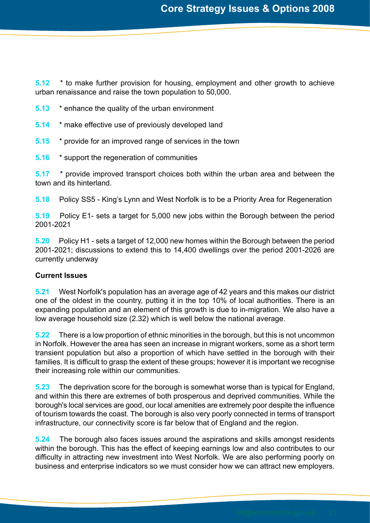**5.12** \* to make further provision for housing, employment and other growth to achieve urban renaissance and raise the town population to 50,000.

- **5.13** \* enhance the quality of the urban environment
- **5.14** \* make effective use of previously developed land
- **5.15** \* provide for an improved range of services in the town
- **5.16** \* support the regeneration of communities

**5.17** \* provide improved transport choices both within the urban area and between the town and its hinterland.

**5.18** Policy SS5 - King's Lynn and West Norfolk is to be a Priority Area for Regeneration

**5.19** Policy E1- sets a target for 5,000 new jobs within the Borough between the period 2001-2021

**5.20** Policy H1 - sets a target of 12,000 new homes within the Borough between the period 2001-2021; discussions to extend this to 14,400 dwellings over the period 2001-2026 are currently underway

#### **Current Issues**

**5.21** West Norfolk's population has an average age of 42 years and this makes our district one of the oldest in the country, putting it in the top 10% of local authorities. There is an expanding population and an element of this growth is due to in-migration. We also have a low average household size (2.32) which is well below the national average.

**5.22** There is a low proportion of ethnic minorities in the borough, but this is not uncommon in Norfolk. However the area has seen an increase in migrant workers, some as a short term transient population but also a proportion of which have settled in the borough with their families. It is difficult to grasp the extent of these groups; however it is important we recognise their increasing role within our communities.

**5.23** The deprivation score for the borough is somewhat worse than is typical for England, and within this there are extremes of both prosperous and deprived communities. While the borough's local services are good, our local amenities are extremely poor despite the influence of tourism towards the coast. The borough is also very poorly connected in terms of transport infrastructure, our connectivity score is far below that of England and the region.

**5.24** The borough also faces issues around the aspirations and skills amongst residents within the borough. This has the effect of keeping earnings low and also contributes to our difficulty in attracting new investment into West Norfolk. We are also performing poorly on business and enterprise indicators so we must consider how we can attract new employers.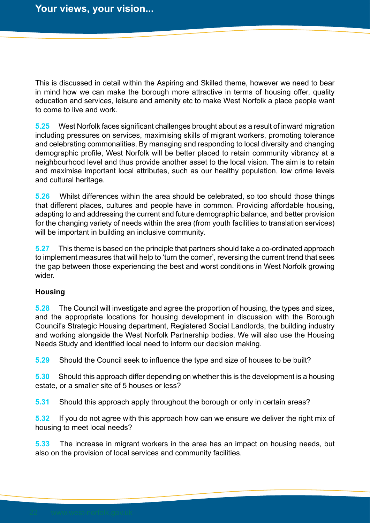This is discussed in detail within the Aspiring and Skilled theme, however we need to bear in mind how we can make the borough more attractive in terms of housing offer, quality education and services, leisure and amenity etc to make West Norfolk a place people want to come to live and work.

**5.25** West Norfolk faces significant challenges brought about as a result of inward migration including pressures on services, maximising skills of migrant workers, promoting tolerance and celebrating commonalities. By managing and responding to local diversity and changing demographic profile, West Norfolk will be better placed to retain community vibrancy at a neighbourhood level and thus provide another asset to the local vision. The aim is to retain and maximise important local attributes, such as our healthy population, low crime levels and cultural heritage.

**5.26** Whilst differences within the area should be celebrated, so too should those things that different places, cultures and people have in common. Providing affordable housing, adapting to and addressing the current and future demographic balance, and better provision for the changing variety of needs within the area (from youth facilities to translation services) will be important in building an inclusive community.

**5.27** This theme is based on the principle that partners should take a co-ordinated approach to implement measures that will help to 'turn the corner', reversing the current trend that sees the gap between those experiencing the best and worst conditions in West Norfolk growing wider.

#### **Housing**

**5.28** The Council will investigate and agree the proportion of housing, the types and sizes, and the appropriate locations for housing development in discussion with the Borough Council's Strategic Housing department, Registered Social Landlords, the building industry and working alongside the West Norfolk Partnership bodies. We will also use the Housing Needs Study and identified local need to inform our decision making.

**5.29** Should the Council seek to influence the type and size of houses to be built?

**5.30** Should this approach differ depending on whether this is the development is a housing estate, or a smaller site of 5 houses or less?

**5.31** Should this approach apply throughout the borough or only in certain areas?

**5.32** If you do not agree with this approach how can we ensure we deliver the right mix of housing to meet local needs?

**5.33** The increase in migrant workers in the area has an impact on housing needs, but also on the provision of local services and community facilities.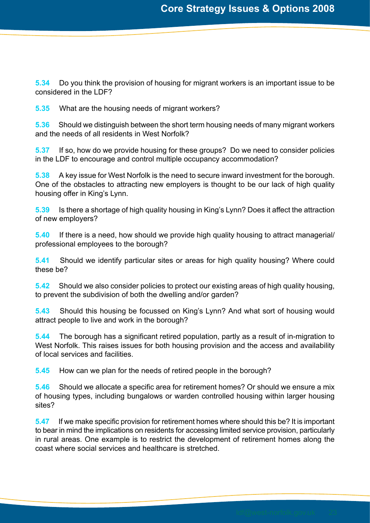**5.34** Do you think the provision of housing for migrant workers is an important issue to be considered in the LDF?

**5.35** What are the housing needs of migrant workers?

**5.36** Should we distinguish between the short term housing needs of many migrant workers and the needs of all residents in West Norfolk?

**5.37** If so, how do we provide housing for these groups? Do we need to consider policies in the LDF to encourage and control multiple occupancy accommodation?

**5.38** A key issue for West Norfolk is the need to secure inward investment for the borough. One of the obstacles to attracting new employers is thought to be our lack of high quality housing offer in King's Lynn.

**5.39** Is there a shortage of high quality housing in King's Lynn? Does it affect the attraction of new employers?

**5.40** If there is a need, how should we provide high quality housing to attract managerial/ professional employees to the borough?

**5.41** Should we identify particular sites or areas for high quality housing? Where could these be?

**5.42** Should we also consider policies to protect our existing areas of high quality housing, to prevent the subdivision of both the dwelling and/or garden?

**5.43** Should this housing be focussed on King's Lynn? And what sort of housing would attract people to live and work in the borough?

**5.44** The borough has a significant retired population, partly as a result of in-migration to West Norfolk. This raises issues for both housing provision and the access and availability of local services and facilities.

**5.45** How can we plan for the needs of retired people in the borough?

**5.46** Should we allocate a specific area for retirement homes? Or should we ensure a mix of housing types, including bungalows or warden controlled housing within larger housing sites?

**5.47** If we make specific provision for retirement homes where should this be? It is important to bear in mind the implications on residents for accessing limited service provision, particularly in rural areas. One example is to restrict the development of retirement homes along the coast where social services and healthcare is stretched.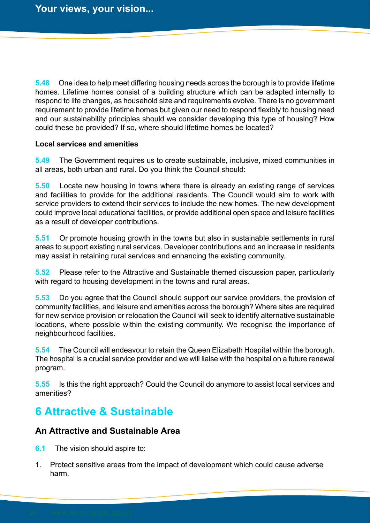**5.48** One idea to help meet differing housing needs across the borough is to provide lifetime homes. Lifetime homes consist of a building structure which can be adapted internally to respond to life changes, as household size and requirements evolve. There is no government requirement to provide lifetime homes but given our need to respond flexibly to housing need and our sustainability principles should we consider developing this type of housing? How could these be provided? If so, where should lifetime homes be located?

#### **Local services and amenities**

**5.49** The Government requires us to create sustainable, inclusive, mixed communities in all areas, both urban and rural. Do you think the Council should:

**5.50** Locate new housing in towns where there is already an existing range of services and facilities to provide for the additional residents. The Council would aim to work with service providers to extend their services to include the new homes. The new development could improve local educational facilities, or provide additional open space and leisure facilities as a result of developer contributions.

**5.51** Or promote housing growth in the towns but also in sustainable settlements in rural areas to support existing rural services. Developer contributions and an increase in residents may assist in retaining rural services and enhancing the existing community.

**5.52** Please refer to the Attractive and Sustainable themed discussion paper, particularly with regard to housing development in the towns and rural areas.

**5.53** Do you agree that the Council should support our service providers, the provision of community facilities, and leisure and amenities across the borough? Where sites are required for new service provision or relocation the Council will seek to identify alternative sustainable locations, where possible within the existing community. We recognise the importance of neighbourhood facilities.

**5.54** The Council will endeavour to retain the Queen Elizabeth Hospital within the borough. The hospital is a crucial service provider and we will liaise with the hospital on a future renewal program.

**5.55** Is this the right approach? Could the Council do anymore to assist local services and amenities?

## **6 Attractive & Sustainable**

## **An Attractive and Sustainable Area**

- **6.1** The vision should aspire to:
- 1. Protect sensitive areas from the impact of development which could cause adverse harm.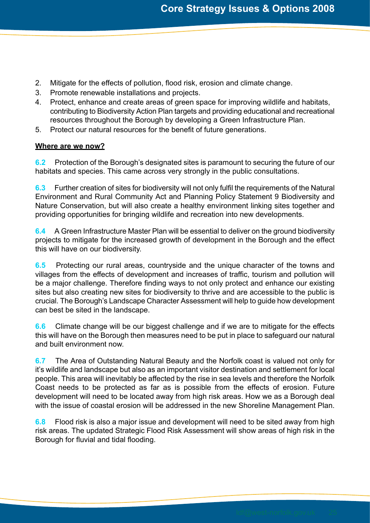- 2. Mitigate for the effects of pollution, flood risk, erosion and climate change.
- 3. Promote renewable installations and projects.
- 4. Protect, enhance and create areas of green space for improving wildlife and habitats, contributing to Biodiversity Action Plan targets and providing educational and recreational resources throughout the Borough by developing a Green Infrastructure Plan.
- 5. Protect our natural resources for the benefit of future generations.

#### **Where are we now?**

**6.2** Protection of the Borough's designated sites is paramount to securing the future of our habitats and species. This came across very strongly in the public consultations.

**6.3** Further creation of sites for biodiversity will not only fulfil the requirements of the Natural Environment and Rural Community Act and Planning Policy Statement 9 Biodiversity and Nature Conservation, but will also create a healthy environment linking sites together and providing opportunities for bringing wildlife and recreation into new developments.

**6.4** A Green Infrastructure Master Plan will be essential to deliver on the ground biodiversity projects to mitigate for the increased growth of development in the Borough and the effect this will have on our biodiversity.

**6.5** Protecting our rural areas, countryside and the unique character of the towns and villages from the effects of development and increases of traffic, tourism and pollution will be a major challenge. Therefore finding ways to not only protect and enhance our existing sites but also creating new sites for biodiversity to thrive and are accessible to the public is crucial. The Borough's Landscape Character Assessment will help to guide how development can best be sited in the landscape.

**6.6** Climate change will be our biggest challenge and if we are to mitigate for the effects this will have on the Borough then measures need to be put in place to safeguard our natural and built environment now.

**6.7** The Area of Outstanding Natural Beauty and the Norfolk coast is valued not only for it's wildlife and landscape but also as an important visitor destination and settlement for local people. This area will inevitably be affected by the rise in sea levels and therefore the Norfolk Coast needs to be protected as far as is possible from the effects of erosion. Future development will need to be located away from high risk areas. How we as a Borough deal with the issue of coastal erosion will be addressed in the new Shoreline Management Plan.

**6.8** Flood risk is also a major issue and development will need to be sited away from high risk areas. The updated Strategic Flood Risk Assessment will show areas of high risk in the Borough for fluvial and tidal flooding.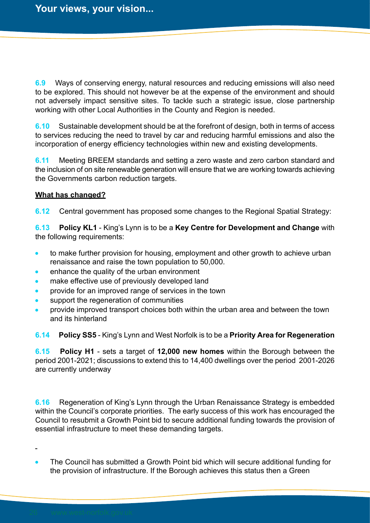**6.9** Ways of conserving energy, natural resources and reducing emissions will also need to be explored. This should not however be at the expense of the environment and should not adversely impact sensitive sites. To tackle such a strategic issue, close partnership working with other Local Authorities in the County and Region is needed.

**6.10** Sustainable development should be at the forefront of design, both in terms of access to services reducing the need to travel by car and reducing harmful emissions and also the incorporation of energy efficiency technologies within new and existing developments.

**6.11** Meeting BREEM standards and setting a zero waste and zero carbon standard and the inclusion of on site renewable generation will ensure that we are working towards achieving the Governments carbon reduction targets.

## **What has changed?**

**6.12** Central government has proposed some changes to the Regional Spatial Strategy:

**6.13 Policy KL1** - King's Lynn is to be a **Key Centre for Development and Change** with the following requirements:

- to make further provision for housing, employment and other growth to achieve urban renaissance and raise the town population to 50,000.
- enhance the quality of the urban environment
- make effective use of previously developed land
- provide for an improved range of services in the town  $\bullet$
- support the regeneration of communities
- provide improved transport choices both within the urban area and between the town and its hinterland
- **6.14 Policy SS5** King's Lynn and West Norfolk is to be a **Priority Area for Regeneration**

**6.15 Policy H1** - sets a target of **12,000 new homes** within the Borough between the period 2001-2021; discussions to extend this to 14,400 dwellings over the period 2001-2026 are currently underway

**6.16** Regeneration of King's Lynn through the Urban Renaissance Strategy is embedded within the Council's corporate priorities. The early success of this work has encouraged the Council to resubmit a Growth Point bid to secure additional funding towards the provision of essential infrastructure to meet these demanding targets.

The Council has submitted a Growth Point bid which will secure additional funding for the provision of infrastructure. If the Borough achieves this status then a Green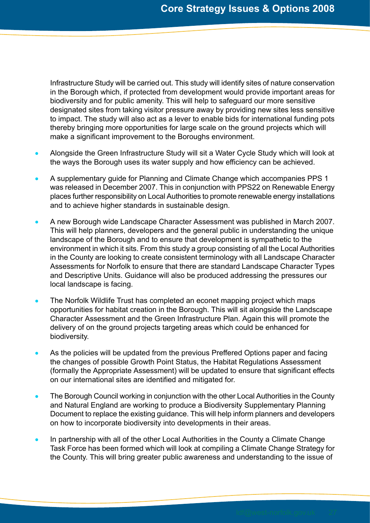Infrastructure Study will be carried out. This study will identify sites of nature conservation in the Borough which, if protected from development would provide important areas for biodiversity and for public amenity. This will help to safeguard our more sensitive designated sites from taking visitor pressure away by providing new sites less sensitive to impact. The study will also act as a lever to enable bids for international funding pots thereby bringing more opportunities for large scale on the ground projects which will make a significant improvement to the Boroughs environment.

- Alongside the Green Infrastructure Study will sit a Water Cycle Study which will look at the ways the Borough uses its water supply and how efficiency can be achieved.
- A supplementary guide for Planning and Climate Change which accompanies PPS 1 was released in December 2007. This in conjunction with PPS22 on Renewable Energy places further responsibility on Local Authorities to promote renewable energy installations and to achieve higher standards in sustainable design.
- A new Borough wide Landscape Character Assessment was published in March 2007. This will help planners, developers and the general public in understanding the unique landscape of the Borough and to ensure that development is sympathetic to the environment in which it sits. From this study a group consisting of all the Local Authorities in the County are looking to create consistent terminology with all Landscape Character Assessments for Norfolk to ensure that there are standard Landscape Character Types and Descriptive Units. Guidance will also be produced addressing the pressures our local landscape is facing.
- The Norfolk Wildlife Trust has completed an econet mapping project which maps opportunities for habitat creation in the Borough. This will sit alongside the Landscape Character Assessment and the Green Infrastructure Plan. Again this will promote the delivery of on the ground projects targeting areas which could be enhanced for biodiversity.
- As the policies will be updated from the previous Preffered Options paper and facing the changes of possible Growth Point Status, the Habitat Regulations Assessment (formally the Appropriate Assessment) will be updated to ensure that significant effects on our international sites are identified and mitigated for.
- The Borough Council working in conjunction with the other Local Authorities in the County and Natural England are working to produce a Biodiversity Supplementary Planning Document to replace the existing guidance. This will help inform planners and developers on how to incorporate biodiversity into developments in their areas.
- In partnership with all of the other Local Authorities in the County a Climate Change Task Force has been formed which will look at compiling a Climate Change Strategy for the County. This will bring greater public awareness and understanding to the issue of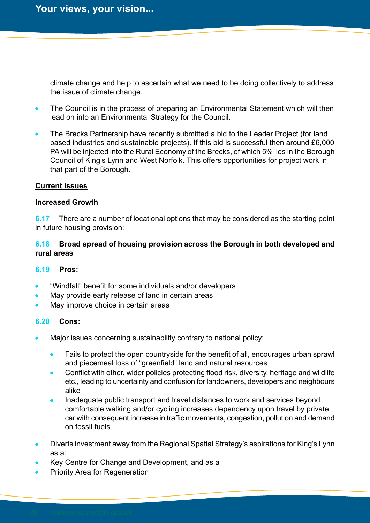climate change and help to ascertain what we need to be doing collectively to address the issue of climate change.

- The Council is in the process of preparing an Environmental Statement which will then lead on into an Environmental Strategy for the Council.
- The Brecks Partnership have recently submitted a bid to the Leader Project (for land based industries and sustainable projects). If this bid is successful then around £6,000 PA will be injected into the Rural Economy of the Brecks, of which 5% lies in the Borough Council of King's Lynn and West Norfolk. This offers opportunities for project work in that part of the Borough.

#### **Current Issues**

#### **Increased Growth**

**6.17** There are a number of locational options that may be considered as the starting point in future housing provision:

## **6.18 Broad spread of housing provision across the Borough in both developed and rural areas**

#### **6.19 Pros:**

- "Windfall" benefit for some individuals and/or developers
- May provide early release of land in certain areas
- May improve choice in certain areas

#### **6.20 Cons:**

- Major issues concerning sustainability contrary to national policy:
	- Fails to protect the open countryside for the benefit of all, encourages urban sprawl and piecemeal loss of "greenfield" land and natural resources
	- Conflict with other, wider policies protecting flood risk, diversity, heritage and wildlife etc., leading to uncertainty and confusion for landowners, developers and neighbours alike
	- Inadequate public transport and travel distances to work and services beyond comfortable walking and/or cycling increases dependency upon travel by private car with consequent increase in traffic movements, congestion, pollution and demand on fossil fuels
- Diverts investment away from the Regional Spatial Strategy's aspirations for King's Lynn as a:
- Key Centre for Change and Development, and as a
- Priority Area for Regeneration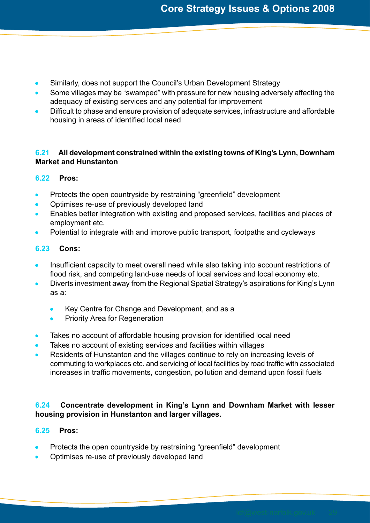- Similarly, does not support the Council's Urban Development Strategy
- Some villages may be "swamped" with pressure for new housing adversely affecting the adequacy of existing services and any potential for improvement
- Difficult to phase and ensure provision of adequate services, infrastructure and affordable housing in areas of identified local need

## **6.21 All development constrained within the existing towns of King's Lynn, Downham Market and Hunstanton**

## **6.22 Pros:**

- Protects the open countryside by restraining "greenfield" development  $\bullet$
- Optimises re-use of previously developed land
- Enables better integration with existing and proposed services, facilities and places of employment etc.
- Potential to integrate with and improve public transport, footpaths and cycleways

## **6.23 Cons:**

- Insufficient capacity to meet overall need while also taking into account restrictions of flood risk, and competing land-use needs of local services and local economy etc.
- Diverts investment away from the Regional Spatial Strategy's aspirations for King's Lynn as a:
	- Key Centre for Change and Development, and as a
	- Priority Area for Regeneration  $\bullet$
- Takes no account of affordable housing provision for identified local need
- Takes no account of existing services and facilities within villages
- Residents of Hunstanton and the villages continue to rely on increasing levels of commuting to workplaces etc. and servicing of local facilities by road traffic with associated increases in traffic movements, congestion, pollution and demand upon fossil fuels

## **6.24 Concentrate development in King's Lynn and Downham Market with lesser housing provision in Hunstanton and larger villages.**

## **6.25 Pros:**

- Protects the open countryside by restraining "greenfield" development
- Optimises re-use of previously developed land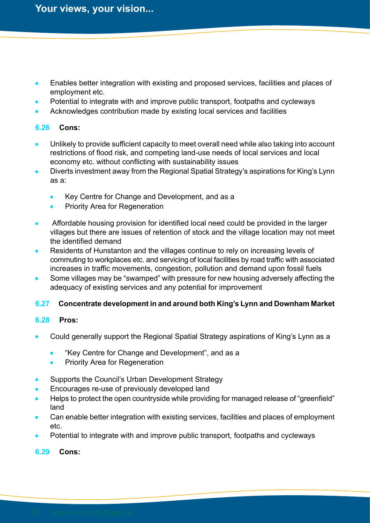- Enables better integration with existing and proposed services, facilities and places of employment etc.
- Potential to integrate with and improve public transport, footpaths and cycleways
- Acknowledges contribution made by existing local services and facilities

## **6.26 Cons:**

- Unlikely to provide sufficient capacity to meet overall need while also taking into account restrictions of flood risk, and competing land-use needs of local services and local economy etc. without conflicting with sustainability issues
- Diverts investment away from the Regional Spatial Strategy's aspirations for King's Lynn as a:
	- Key Centre for Change and Development, and as a
	- Priority Area for Regeneration
- Affordable housing provision for identified local need could be provided in the larger villages but there are issues of retention of stock and the village location may not meet the identified demand
- Residents of Hunstanton and the villages continue to rely on increasing levels of commuting to workplaces etc. and servicing of local facilities by road traffic with associated increases in traffic movements, congestion, pollution and demand upon fossil fuels
- Some villages may be "swamped" with pressure for new housing adversely affecting the adequacy of existing services and any potential for improvement

## **6.27 Concentrate development in and around both King's Lynn and Downham Market**

## **6.28 Pros:**

- Could generally support the Regional Spatial Strategy aspirations of King's Lynn as a
	- "Key Centre for Change and Development", and as a
	- Priority Area for Regeneration
- Supports the Council's Urban Development Strategy
- Encourages re-use of previously developed land
- Helps to protect the open countryside while providing for managed release of "greenfield" land
- Can enable better integration with existing services, facilities and places of employment etc.
- Potential to integrate with and improve public transport, footpaths and cycleways

## **6.29 Cons:**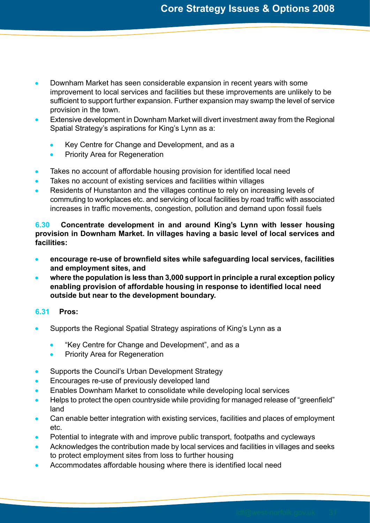- Downham Market has seen considerable expansion in recent years with some improvement to local services and facilities but these improvements are unlikely to be sufficient to support further expansion. Further expansion may swamp the level of service provision in the town.
- Extensive development in Downham Market will divert investment away from the Regional Spatial Strategy's aspirations for King's Lynn as a:
	- Key Centre for Change and Development, and as a
	- Priority Area for Regeneration
- Takes no account of affordable housing provision for identified local need
- Takes no account of existing services and facilities within villages
- Residents of Hunstanton and the villages continue to rely on increasing levels of commuting to workplaces etc. and servicing of local facilities by road traffic with associated increases in traffic movements, congestion, pollution and demand upon fossil fuels

**6.30 Concentrate development in and around King's Lynn with lesser housing provision in Downham Market. In villages having a basic level of local services and facilities:**

- **encourage re-use of brownfield sites while safeguarding local services, facilities and employment sites, and**
- **where the population is less than 3,000 support in principle a rural exception policy enabling provision of affordable housing in response to identified local need outside but near to the development boundary.**

## **6.31 Pros:**

- Supports the Regional Spatial Strategy aspirations of King's Lynn as a
	- "Key Centre for Change and Development", and as a
	- Priority Area for Regeneration
- Supports the Council's Urban Development Strategy
- Encourages re-use of previously developed land
- Enables Downham Market to consolidate while developing local services
- Helps to protect the open countryside while providing for managed release of "greenfield" land
- Can enable better integration with existing services, facilities and places of employment etc.
- Potential to integrate with and improve public transport, footpaths and cycleways
- Acknowledges the contribution made by local services and facilities in villages and seeks to protect employment sites from loss to further housing
- Accommodates affordable housing where there is identified local need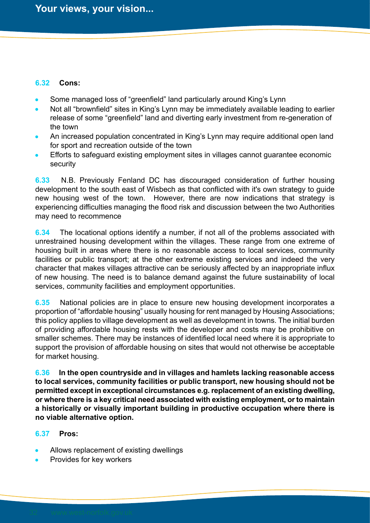## **6.32 Cons:**

- Some managed loss of "greenfield" land particularly around King's Lynn
- Not all "brownfield" sites in King's Lynn may be immediately available leading to earlier release of some "greenfield" land and diverting early investment from re-generation of the town
- An increased population concentrated in King's Lynn may require additional open land for sport and recreation outside of the town
- Efforts to safeguard existing employment sites in villages cannot guarantee economic security

**6.33** N.B. Previously Fenland DC has discouraged consideration of further housing development to the south east of Wisbech as that conflicted with it's own strategy to guide new housing west of the town. However, there are now indications that strategy is experiencing difficulties managing the flood risk and discussion between the two Authorities may need to recommence

**6.34** The locational options identify a number, if not all of the problems associated with unrestrained housing development within the villages. These range from one extreme of housing built in areas where there is no reasonable access to local services, community facilities or public transport; at the other extreme existing services and indeed the very character that makes villages attractive can be seriously affected by an inappropriate influx of new housing. The need is to balance demand against the future sustainability of local services, community facilities and employment opportunities.

**6.35** National policies are in place to ensure new housing development incorporates a proportion of "affordable housing" usually housing for rent managed by Housing Associations; this policy applies to village development as well as development in towns. The initial burden of providing affordable housing rests with the developer and costs may be prohibitive on smaller schemes. There may be instances of identified local need where it is appropriate to support the provision of affordable housing on sites that would not otherwise be acceptable for market housing.

**6.36 In the open countryside and in villages and hamlets lacking reasonable access to local services, community facilities or public transport, new housing should not be permitted except in exceptional circumstances e.g. replacement of an existing dwelling, or where there is a key critical need associated with existing employment, or to maintain a historically or visually important building in productive occupation where there is no viable alternative option.**

## **6.37 Pros:**

- Allows replacement of existing dwellings
- Provides for key workers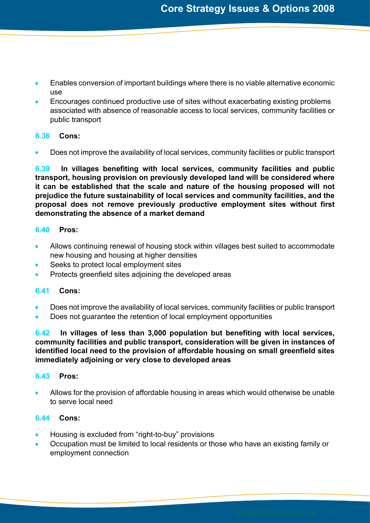- Enables conversion of important buildings where there is no viable alternative economic  $\bullet$ use
- Encourages continued productive use of sites without exacerbating existing problems associated with absence of reasonable access to local services, community facilities or public transport

## **6.38 Cons:**

Does not improve the availability of local services, community facilities or public transport

**6.39 In villages benefiting with local services, community facilities and public transport, housing provision on previously developed land will be considered where it can be established that the scale and nature of the housing proposed will not prejudice the future sustainability of local services and community facilities, and the proposal does not remove previously productive employment sites without first demonstrating the absence of a market demand**

## **6.40 Pros:**

- Allows continuing renewal of housing stock within villages best suited to accommodate new housing and housing at higher densities
- Seeks to protect local employment sites
- Protects greenfield sites adjoining the developed areas

## **6.41 Cons:**

- Does not improve the availability of local services, community facilities or public transport
- Does not guarantee the retention of local employment opportunities

**6.42 In villages of less than 3,000 population but benefiting with local services, community facilities and public transport, consideration will be given in instances of identified local need to the provision of affordable housing on small greenfield sites immediately adjoining or very close to developed areas**

## **6.43 Pros:**

Allows for the provision of affordable housing in areas which would otherwise be unable to serve local need

## **6.44 Cons:**

- Housing is excluded from "right-to-buy" provisions
- Occupation must be limited to local residents or those who have an existing family or employment connection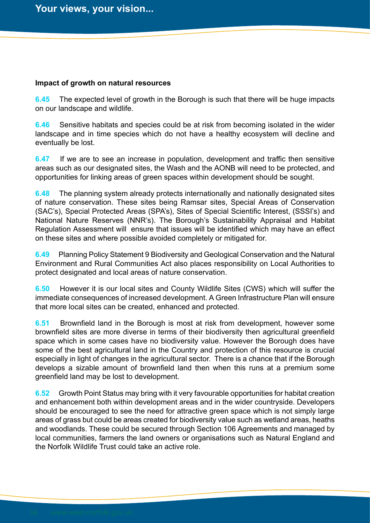#### **Impact of growth on natural resources**

**6.45** The expected level of growth in the Borough is such that there will be huge impacts on our landscape and wildlife.

**6.46** Sensitive habitats and species could be at risk from becoming isolated in the wider landscape and in time species which do not have a healthy ecosystem will decline and eventually be lost.

**6.47** If we are to see an increase in population, development and traffic then sensitive areas such as our designated sites, the Wash and the AONB will need to be protected, and opportunities for linking areas of green spaces within development should be sought.

**6.48** The planning system already protects internationally and nationally designated sites of nature conservation. These sites being Ramsar sites, Special Areas of Conservation (SAC's), Special Protected Areas (SPA's), Sites of Special Scientific Interest, (SSSI's) and National Nature Reserves (NNR's). The Borough's Sustainability Appraisal and Habitat Regulation Assessment will ensure that issues will be identified which may have an effect on these sites and where possible avoided completely or mitigated for.

**6.49** Planning Policy Statement 9 Biodiversity and Geological Conservation and the Natural Environment and Rural Communities Act also places responsibility on Local Authorities to protect designated and local areas of nature conservation.

**6.50** However it is our local sites and County Wildlife Sites (CWS) which will suffer the immediate consequences of increased development. A Green Infrastructure Plan will ensure that more local sites can be created, enhanced and protected.

**6.51** Brownfield land in the Borough is most at risk from development, however some brownfield sites are more diverse in terms of their biodiversity then agricultural greenfield space which in some cases have no biodiversity value. However the Borough does have some of the best agricultural land in the Country and protection of this resource is crucial especially in light of changes in the agricultural sector. There is a chance that if the Borough develops a sizable amount of brownfield land then when this runs at a premium some greenfield land may be lost to development.

**6.52** Growth Point Status may bring with it very favourable opportunities for habitat creation and enhancement both within development areas and in the wider countryside. Developers should be encouraged to see the need for attractive green space which is not simply large areas of grass but could be areas created for biodiversity value such as wetland areas, heaths and woodlands. These could be secured through Section 106 Agreements and managed by local communities, farmers the land owners or organisations such as Natural England and the Norfolk Wildlife Trust could take an active role.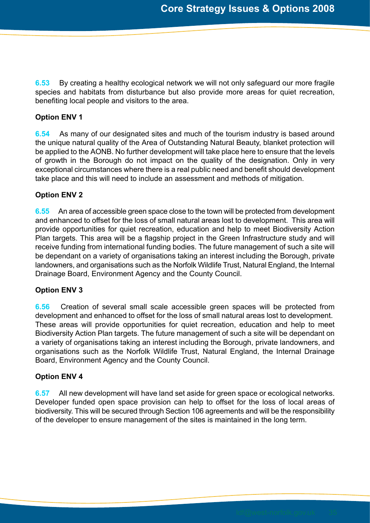**6.53** By creating a healthy ecological network we will not only safeguard our more fragile species and habitats from disturbance but also provide more areas for quiet recreation, benefiting local people and visitors to the area.

## **Option ENV 1**

**6.54** As many of our designated sites and much of the tourism industry is based around the unique natural quality of the Area of Outstanding Natural Beauty, blanket protection will be applied to the AONB. No further development will take place here to ensure that the levels of growth in the Borough do not impact on the quality of the designation. Only in very exceptional circumstances where there is a real public need and benefit should development take place and this will need to include an assessment and methods of mitigation.

## **Option ENV 2**

**6.55** An area of accessible green space close to the town will be protected from development and enhanced to offset for the loss of small natural areas lost to development. This area will provide opportunities for quiet recreation, education and help to meet Biodiversity Action Plan targets. This area will be a flagship project in the Green Infrastructure study and will receive funding from international funding bodies. The future management of such a site will be dependant on a variety of organisations taking an interest including the Borough, private landowners, and organisations such as the Norfolk Wildlife Trust, Natural England, the Internal Drainage Board, Environment Agency and the County Council.

## **Option ENV 3**

**6.56** Creation of several small scale accessible green spaces will be protected from development and enhanced to offset for the loss of small natural areas lost to development. These areas will provide opportunities for quiet recreation, education and help to meet Biodiversity Action Plan targets. The future management of such a site will be dependant on a variety of organisations taking an interest including the Borough, private landowners, and organisations such as the Norfolk Wildlife Trust, Natural England, the Internal Drainage Board, Environment Agency and the County Council.

## **Option ENV 4**

**6.57** All new development will have land set aside for green space or ecological networks. Developer funded open space provision can help to offset for the loss of local areas of biodiversity. This will be secured through Section 106 agreements and will be the responsibility of the developer to ensure management of the sites is maintained in the long term.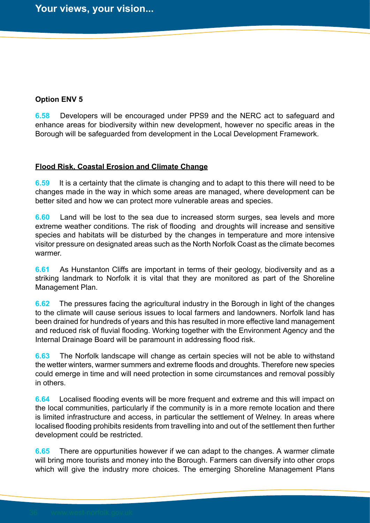## **Option ENV 5**

**6.58** Developers will be encouraged under PPS9 and the NERC act to safeguard and enhance areas for biodiversity within new development, however no specific areas in the Borough will be safeguarded from development in the Local Development Framework.

## **Flood Risk, Coastal Erosion and Climate Change**

**6.59** It is a certainty that the climate is changing and to adapt to this there will need to be changes made in the way in which some areas are managed, where development can be better sited and how we can protect more vulnerable areas and species.

**6.60** Land will be lost to the sea due to increased storm surges, sea levels and more extreme weather conditions. The risk of flooding and droughts will increase and sensitive species and habitats will be disturbed by the changes in temperature and more intensive visitor pressure on designated areas such as the North Norfolk Coast as the climate becomes warmer.

**6.61** As Hunstanton Cliffs are important in terms of their geology, biodiversity and as a striking landmark to Norfolk it is vital that they are monitored as part of the Shoreline Management Plan.

**6.62** The pressures facing the agricultural industry in the Borough in light of the changes to the climate will cause serious issues to local farmers and landowners. Norfolk land has been drained for hundreds of years and this has resulted in more effective land management and reduced risk of fluvial flooding. Working together with the Environment Agency and the Internal Drainage Board will be paramount in addressing flood risk.

**6.63** The Norfolk landscape will change as certain species will not be able to withstand the wetter winters, warmer summers and extreme floods and droughts. Therefore new species could emerge in time and will need protection in some circumstances and removal possibly in others.

**6.64** Localised flooding events will be more frequent and extreme and this will impact on the local communities, particularly if the community is in a more remote location and there is limited infrastructure and access, in particular the settlement of Welney. In areas where localised flooding prohibits residents from travelling into and out of the settlement then further development could be restricted.

**6.65** There are oppurtunities however if we can adapt to the changes. A warmer climate will bring more tourists and money into the Borough. Farmers can diversify into other crops which will give the industry more choices. The emerging Shoreline Management Plans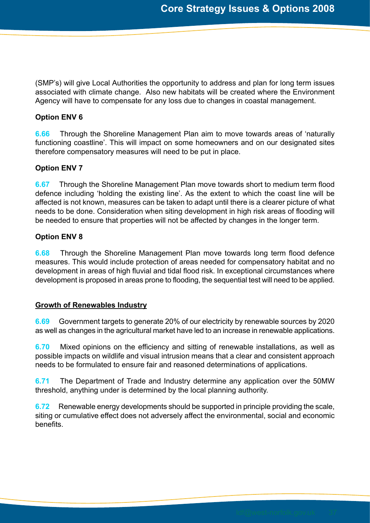(SMP's) will give Local Authorities the opportunity to address and plan for long term issues associated with climate change. Also new habitats will be created where the Environment Agency will have to compensate for any loss due to changes in coastal management.

## **Option ENV 6**

**6.66** Through the Shoreline Management Plan aim to move towards areas of 'naturally functioning coastline'. This will impact on some homeowners and on our designated sites therefore compensatory measures will need to be put in place.

## **Option ENV 7**

**6.67** Through the Shoreline Management Plan move towards short to medium term flood defence including 'holding the existing line'. As the extent to which the coast line will be affected is not known, measures can be taken to adapt until there is a clearer picture of what needs to be done. Consideration when siting development in high risk areas of flooding will be needed to ensure that properties will not be affected by changes in the longer term.

## **Option ENV 8**

**6.68** Through the Shoreline Management Plan move towards long term flood defence measures. This would include protection of areas needed for compensatory habitat and no development in areas of high fluvial and tidal flood risk. In exceptional circumstances where development is proposed in areas prone to flooding, the sequential test will need to be applied.

## **Growth of Renewables Industry**

**6.69** Government targets to generate 20% of our electricity by renewable sources by 2020 as well as changes in the agricultural market have led to an increase in renewable applications.

**6.70** Mixed opinions on the efficiency and sitting of renewable installations, as well as possible impacts on wildlife and visual intrusion means that a clear and consistent approach needs to be formulated to ensure fair and reasoned determinations of applications.

**6.71** The Department of Trade and Industry determine any application over the 50MW threshold, anything under is determined by the local planning authority.

**6.72** Renewable energy developments should be supported in principle providing the scale, siting or cumulative effect does not adversely affect the environmental, social and economic benefits.